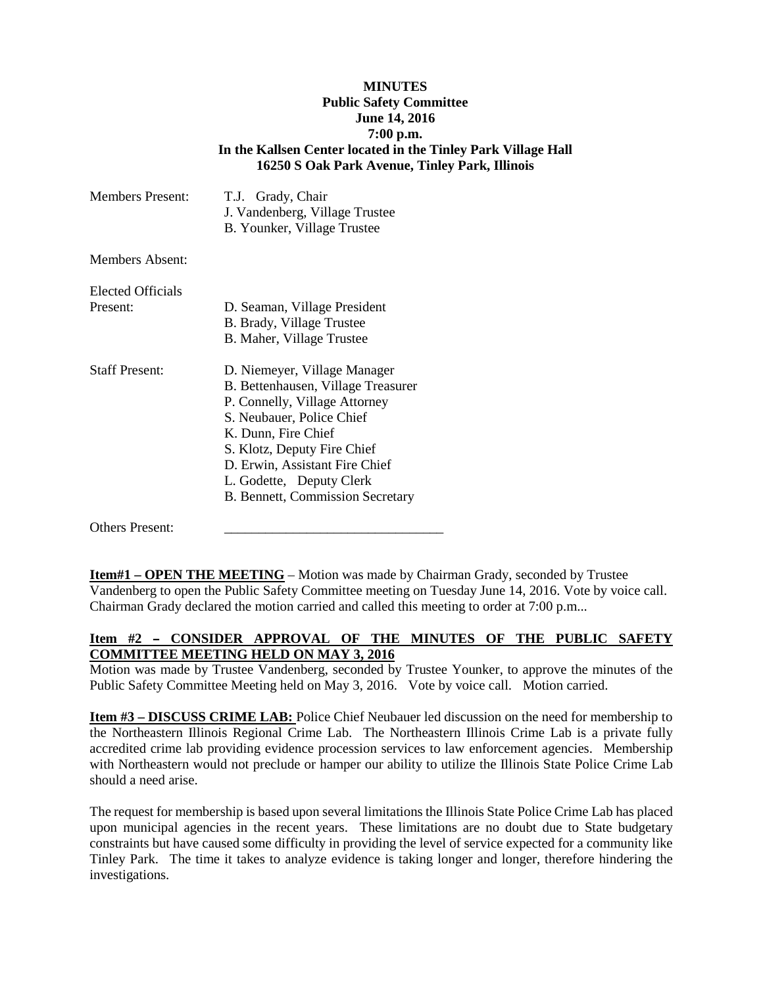## **MINUTES Public Safety Committee June 14, 2016 7:00 p.m. In the Kallsen Center located in the Tinley Park Village Hall 16250 S Oak Park Avenue, Tinley Park, Illinois**

| <b>Members Present:</b>       | T.J. Grady, Chair<br>J. Vandenberg, Village Trustee<br>B. Younker, Village Trustee                                                                                                                                                                                                       |
|-------------------------------|------------------------------------------------------------------------------------------------------------------------------------------------------------------------------------------------------------------------------------------------------------------------------------------|
| Members Absent:               |                                                                                                                                                                                                                                                                                          |
| Elected Officials<br>Present: | D. Seaman, Village President<br>B. Brady, Village Trustee<br>B. Maher, Village Trustee                                                                                                                                                                                                   |
| <b>Staff Present:</b>         | D. Niemeyer, Village Manager<br>B. Bettenhausen, Village Treasurer<br>P. Connelly, Village Attorney<br>S. Neubauer, Police Chief<br>K. Dunn, Fire Chief<br>S. Klotz, Deputy Fire Chief<br>D. Erwin, Assistant Fire Chief<br>L. Godette, Deputy Clerk<br>B. Bennett, Commission Secretary |

Others Present:

**Item#1 – OPEN THE MEETING** – Motion was made by Chairman Grady, seconded by Trustee Vandenberg to open the Public Safety Committee meeting on Tuesday June 14, 2016. Vote by voice call. Chairman Grady declared the motion carried and called this meeting to order at 7:00 p.m...

## Item #2 - CONSIDER APPROVAL OF THE MINUTES OF THE PUBLIC SAFETY **COMMITTEE MEETING HELD ON MAY 3, 2016**

Motion was made by Trustee Vandenberg, seconded by Trustee Younker, to approve the minutes of the Public Safety Committee Meeting held on May 3, 2016. Vote by voice call. Motion carried.

**Item #3 – DISCUSS CRIME LAB:** Police Chief Neubauer led discussion on the need for membership to the Northeastern Illinois Regional Crime Lab. The Northeastern Illinois Crime Lab is a private fully accredited crime lab providing evidence procession services to law enforcement agencies. Membership with Northeastern would not preclude or hamper our ability to utilize the Illinois State Police Crime Lab should a need arise.

The request for membership is based upon several limitations the Illinois State Police Crime Lab has placed upon municipal agencies in the recent years. These limitations are no doubt due to State budgetary constraints but have caused some difficulty in providing the level of service expected for a community like Tinley Park. The time it takes to analyze evidence is taking longer and longer, therefore hindering the investigations.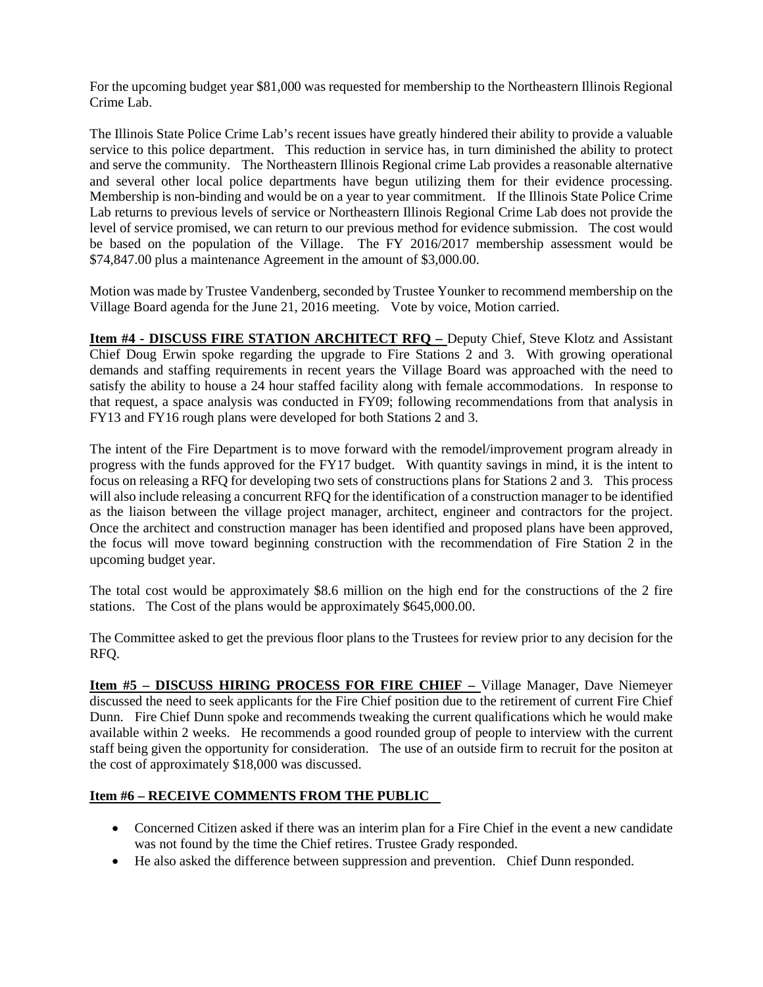For the upcoming budget year \$81,000 was requested for membership to the Northeastern Illinois Regional Crime Lab.

The Illinois State Police Crime Lab's recent issues have greatly hindered their ability to provide a valuable service to this police department. This reduction in service has, in turn diminished the ability to protect and serve the community. The Northeastern Illinois Regional crime Lab provides a reasonable alternative and several other local police departments have begun utilizing them for their evidence processing. Membership is non-binding and would be on a year to year commitment. If the Illinois State Police Crime Lab returns to previous levels of service or Northeastern Illinois Regional Crime Lab does not provide the level of service promised, we can return to our previous method for evidence submission. The cost would be based on the population of the Village. The FY 2016/2017 membership assessment would be \$74,847.00 plus a maintenance Agreement in the amount of \$3,000.00.

Motion was made by Trustee Vandenberg, seconded by Trustee Younker to recommend membership on the Village Board agenda for the June 21, 2016 meeting. Vote by voice, Motion carried.

**Item #4 - DISCUSS FIRE STATION ARCHITECT RFQ –** Deputy Chief, Steve Klotz and Assistant Chief Doug Erwin spoke regarding the upgrade to Fire Stations 2 and 3. With growing operational demands and staffing requirements in recent years the Village Board was approached with the need to satisfy the ability to house a 24 hour staffed facility along with female accommodations. In response to that request, a space analysis was conducted in FY09; following recommendations from that analysis in FY13 and FY16 rough plans were developed for both Stations 2 and 3.

The intent of the Fire Department is to move forward with the remodel/improvement program already in progress with the funds approved for the FY17 budget. With quantity savings in mind, it is the intent to focus on releasing a RFQ for developing two sets of constructions plans for Stations 2 and 3. This process will also include releasing a concurrent RFQ for the identification of a construction manager to be identified as the liaison between the village project manager, architect, engineer and contractors for the project. Once the architect and construction manager has been identified and proposed plans have been approved, the focus will move toward beginning construction with the recommendation of Fire Station 2 in the upcoming budget year.

The total cost would be approximately \$8.6 million on the high end for the constructions of the 2 fire stations. The Cost of the plans would be approximately \$645,000.00.

The Committee asked to get the previous floor plans to the Trustees for review prior to any decision for the RFQ.

**Item #5 – DISCUSS HIRING PROCESS FOR FIRE CHIEF –** Village Manager, Dave Niemeyer discussed the need to seek applicants for the Fire Chief position due to the retirement of current Fire Chief Dunn. Fire Chief Dunn spoke and recommends tweaking the current qualifications which he would make available within 2 weeks. He recommends a good rounded group of people to interview with the current staff being given the opportunity for consideration. The use of an outside firm to recruit for the positon at the cost of approximately \$18,000 was discussed.

## **Item #6 – RECEIVE COMMENTS FROM THE PUBLIC**

- Concerned Citizen asked if there was an interim plan for a Fire Chief in the event a new candidate was not found by the time the Chief retires. Trustee Grady responded.
- He also asked the difference between suppression and prevention. Chief Dunn responded.